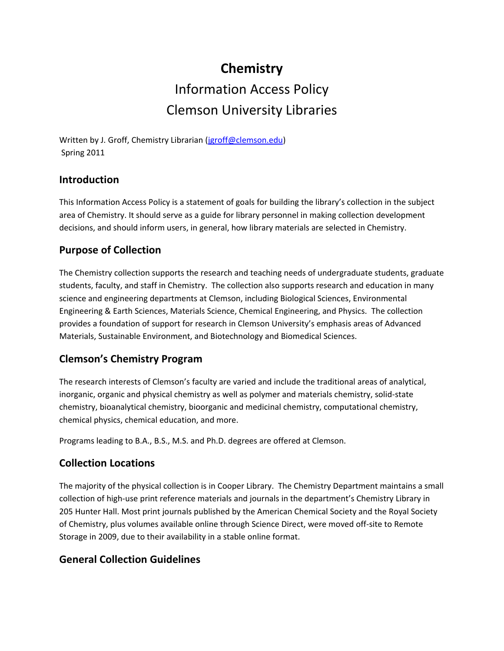# **Chemistry** Information Access Policy Clemson University Libraries

Written by J. Groff, Chemistry Librarian [\(jgroff@clemson.edu\)](mailto:jgroff@clemson.edu) Spring 2011

### **Introduction**

This Information Access Policy is a statement of goals for building the library's collection in the subject area of Chemistry. It should serve as a guide for library personnel in making collection development decisions, and should inform users, in general, how library materials are selected in Chemistry.

### **Purpose of Collection**

The Chemistry collection supports the research and teaching needs of undergraduate students, graduate students, faculty, and staff in Chemistry. The collection also supports research and education in many science and engineering departments at Clemson, including Biological Sciences, Environmental Engineering & Earth Sciences, Materials Science, Chemical Engineering, and Physics. The collection provides a foundation of support for research in Clemson University's emphasis areas of Advanced Materials, Sustainable Environment, and Biotechnology and Biomedical Sciences.

## **Clemson's Chemistry Program**

The research interests of Clemson's faculty are varied and include the traditional areas of analytical, inorganic, organic and physical chemistry as well as polymer and materials chemistry, solid-state chemistry, bioanalytical chemistry, bioorganic and medicinal chemistry, computational chemistry, chemical physics, chemical education, and more.

Programs leading to B.A., B.S., M.S. and Ph.D. degrees are offered at Clemson.

#### **Collection Locations**

The majority of the physical collection is in Cooper Library. The Chemistry Department maintains a small collection of high-use print reference materials and journals in the department's Chemistry Library in 205 Hunter Hall. Most print journals published by the American Chemical Society and the Royal Society of Chemistry, plus volumes available online through Science Direct, were moved off-site to Remote Storage in 2009, due to their availability in a stable online format.

## **General Collection Guidelines**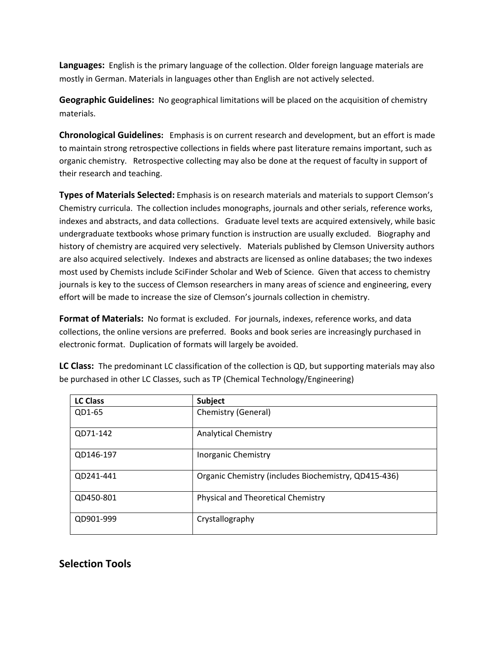**Languages:** English is the primary language of the collection. Older foreign language materials are mostly in German. Materials in languages other than English are not actively selected.

**Geographic Guidelines:** No geographical limitations will be placed on the acquisition of chemistry materials.

**Chronological Guidelines:** Emphasis is on current research and development, but an effort is made to maintain strong retrospective collections in fields where past literature remains important, such as organic chemistry. Retrospective collecting may also be done at the request of faculty in support of their research and teaching.

**Types of Materials Selected:** Emphasis is on research materials and materials to support Clemson's Chemistry curricula. The collection includes monographs, journals and other serials, reference works, indexes and abstracts, and data collections. Graduate level texts are acquired extensively, while basic undergraduate textbooks whose primary function is instruction are usually excluded. Biography and history of chemistry are acquired very selectively. Materials published by Clemson University authors are also acquired selectively. Indexes and abstracts are licensed as online databases; the two indexes most used by Chemists include SciFinder Scholar and Web of Science. Given that access to chemistry journals is key to the success of Clemson researchers in many areas of science and engineering, every effort will be made to increase the size of Clemson's journals collection in chemistry.

**Format of Materials:** No format is excluded. For journals, indexes, reference works, and data collections, the online versions are preferred. Books and book series are increasingly purchased in electronic format. Duplication of formats will largely be avoided.

| <b>LC Class</b> | <b>Subject</b>                                       |
|-----------------|------------------------------------------------------|
| QD1-65          | Chemistry (General)                                  |
| QD71-142        | <b>Analytical Chemistry</b>                          |
| QD146-197       | <b>Inorganic Chemistry</b>                           |
| QD241-441       | Organic Chemistry (includes Biochemistry, QD415-436) |
| QD450-801       | Physical and Theoretical Chemistry                   |
| QD901-999       | Crystallography                                      |

**LC Class:** The predominant LC classification of the collection is QD, but supporting materials may also be purchased in other LC Classes, such as TP (Chemical Technology/Engineering)

#### **Selection Tools**